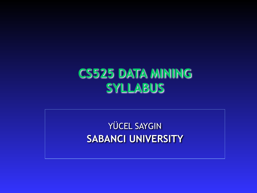## **CS525 DATA MINING SYLLABUS**

YÜCEL SAYGIN **SABANCI UNIVERSITY**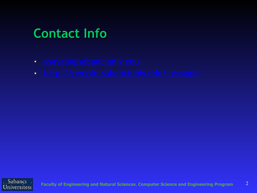# **Contact Info**

- [ysaygin@sabanciuniv.edu](mailto:ysaygin@sabanciuniv.edu)
- [http://people.sabanciuniv.edu/~ysaygin](http://www.sabanciuniv.edu/fens/people/ysaygin)

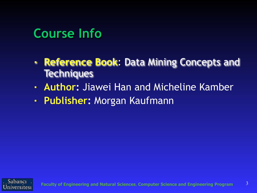# **Course Info**

- **Reference Book**: Data Mining Concepts and **Techniques**
- **Author: Jiawei Han and Micheline Kamber**
- **Publisher:** Morgan Kaufmann

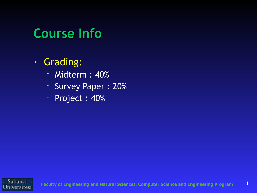# **Course Info**

#### ■ Grading:

- Midterm : 40%
- Survey Paper : 20%
- Project : 40%

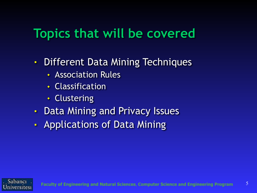# **Topics that will be covered**

- Different Data Mining Techniques
	- ◆ Association Rules
	- ◆ Classification
	- ◆ Clustering
- Data Mining and Privacy Issues
- Applications of Data Mining

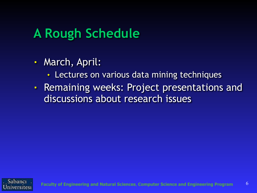# **A Rough Schedule**

- March, April:
	- Lectures on various data mining techniques
- Remaining weeks: Project presentations and discussions about research issues

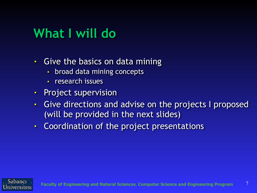# **What I will do**

- Give the basics on data mining
	- broad data mining concepts
	- research issues
- Project supervision
- Give directions and advise on the projects I proposed (will be provided in the next slides)
- Coordination of the project presentations

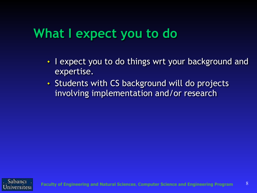## **What I expect you to do**

- I expect you to do things wrt your background and expertise.
- ◆ Students with CS background will do projects involving implementation and/or research

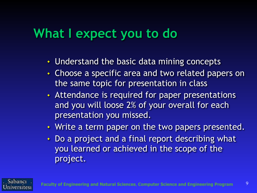## **What I expect you to do**

- Understand the basic data mining concepts
- Choose a specific area and two related papers on the same topic for presentation in class
- Attendance is required for paper presentations and you will loose 2% of your overall for each presentation you missed.
- Write a term paper on the two papers presented.
- Do a project and a final report describing what you learned or achieved in the scope of the project.

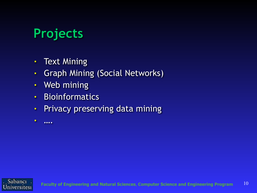# **Projects**

- Text Mining
- Graph Mining (Social Networks)
- Web mining
- **Bioinformatics**
- **Privacy preserving data mining**
- ….